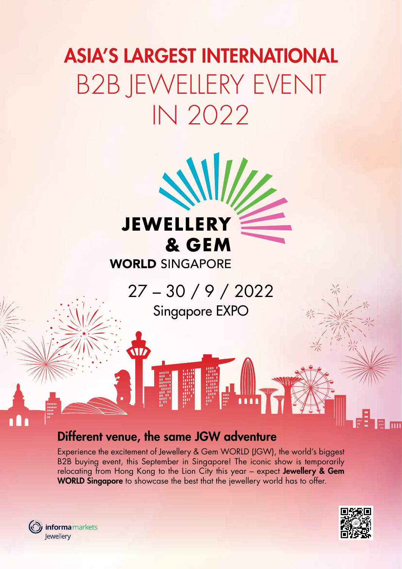# ASIA'S LARGEST INTERNATIONAL B2B JEWELLERY EVENT IN 2022



## **WORLD SINGAPORE**

27 – 30 / 9 / 2022 Singapore EXPO

## Different venue, the same JGW adventure

W

Experience the excitement of Jewellery & Gem WORLD (JGW), the world's biggest B2B buying event, this September in Singapore! The iconic show is temporarily relocating from Hong Kong to the Lion City this year – expect Jewellery & Gem WORLD Singapore to showcase the best that the jewellery world has to offer.



(O) informa markets Jewellery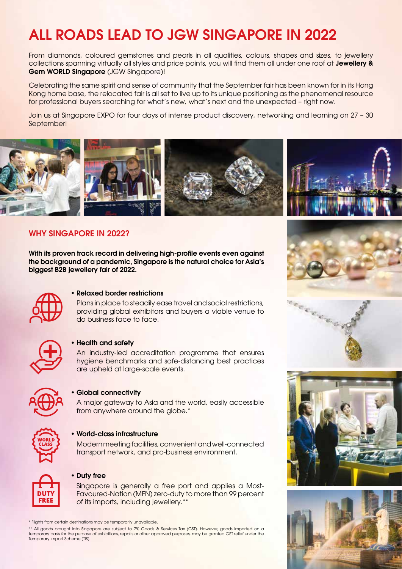## ALL ROADS LEAD TO JGW SINGAPORE IN 2022

From diamonds, coloured gemstones and pearls in all qualities, colours, shapes and sizes, to jewellery collections spanning virtually all styles and price points, you will find them all under one roof at Jewellery & Gem WORLD Singapore (JGW Singapore)!

Celebrating the same spirit and sense of community that the September fair has been known for in its Hong Kong home base, the relocated fair is all set to live up to its unique positioning as the phenomenal resource for professional buyers searching for what's new, what's next and the unexpected – right now.

Join us at Singapore EXPO for four days of intense product discovery, networking and learning on 27 – 30 September!



### WHY SINGAPORE IN 2022?

With its proven track record in delivering high-profile events even against the background of a pandemic, Singapore is the natural choice for Asia's biggest B2B jewellery fair of 2022.



#### • Relaxed border restrictions

Plans in place to steadily ease travel and social restrictions, providing global exhibitors and buyers a viable venue to do business face to face.



#### • Health and safety

An industry-led accreditation programme that ensures hygiene benchmarks and safe-distancing best practices are upheld at large-scale events.



#### • Global connectivity

A major gateway to Asia and the world, easily accessible from anywhere around the globe.<sup>\*</sup>



#### • World-class infrastructure

Modern meeting facilities, convenient and well-connected transport network, and pro-business environment.



#### • Duty free

Singapore is generally a free port and applies a Most-Favoured-Nation (MFN) zero-duty to more than 99 percent of its imports, including jewellery.\*\*

\*\* All goods brought into Singapore are subject to 7% Goods & Services Tax (GST). However, goods imported on a temporary basis for the purpose of exhibitions, repairs or other approved purposes, may be granted GST relief under the Temporary Import Scheme (TIS).









<sup>\*</sup> Flights from certain destinations may be temporarily unavailable.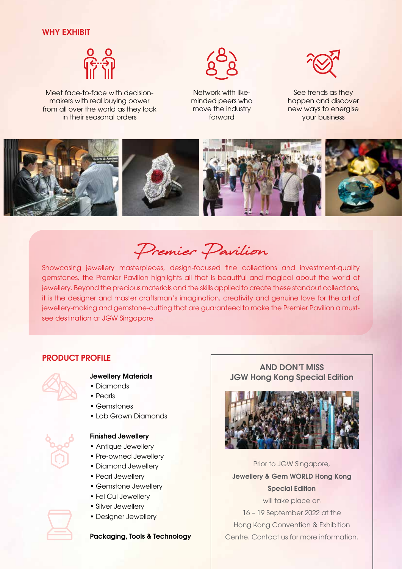### WHY EXHIBIT



Meet face-to-face with decisionmakers with real buying power from all over the world as they lock in their seasonal orders



Network with likeminded peers who move the industry forward



See trends as they happen and discover new ways to energise your business



Premier Pavilion

Showcasing jewellery masterpieces, design-focused fine collections and investment-quality gemstones, the Premier Pavilion highlights all that is beautiful and magical about the world of jewellery. Beyond the precious materials and the skills applied to create these standout collections, it is the designer and master craftsman's imagination, creativity and genuine love for the art of jewellery-making and gemstone-cutting that are guaranteed to make the Premier Pavilion a mustsee destination at JGW Singapore.

#### PRODUCT PROFILE



### Jewellery Materials

- Diamonds
- Pearls
- Gemstones
- Lab Grown Diamonds



- Finished Jewellery
- Antique Jewellery
- Pre-owned Jewellery
- Diamond Jewellery
- Pearl Jewellery
- Gemstone Jewellery
- Fei Cui Jewellery
- Silver Jewellery
- Designer Jewellery

#### Packaging, Tools & Technology

### AND DON'T MISS JGW Hong Kong Special Edition



Prior to JGW Singapore, Jewellery & Gem WORLD Hong Kong Special Edition

will take place on 16 – 19 September 2022 at the Hong Kong Convention & Exhibition Centre. Contact us for more information.